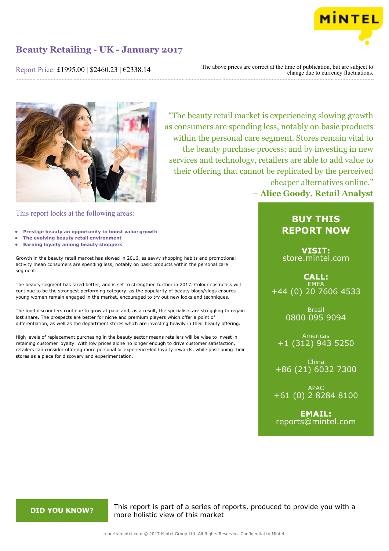

Report Price: £1995.00 | \$2460.23 | €2338.14

The above prices are correct at the time of publication, but are subject to change due to currency fluctuations.



This report looks at the following areas:

- **• Prestige beauty an opportunity to boost value growth**
- **• The evolving beauty retail environment**
- **• Earning loyalty among beauty shoppers**

Growth in the beauty retail market has slowed in 2016, as savvy shopping habits and promotional activity mean consumers are spending less, notably on basic products within the personal care segment.

The beauty segment has fared better, and is set to strengthen further in 2017. Colour cosmetics will continue to be the strongest performing category, as the popularity of beauty blogs/vlogs ensures young women remain engaged in the market, encouraged to try out new looks and techniques.

The food discounters continue to grow at pace and, as a result, the specialists are struggling to regain lost share. The prospects are better for niche and premium players which offer a point of differentiation, as well as the department stores which are investing heavily in their beauty offering.

High levels of replacement purchasing in the beauty sector means retailers will be wise to invest in retaining customer loyalty. With low prices alone no longer enough to drive customer satisfaction, retailers can consider offering more personal or experience-led loyalty rewards, while positioning their stores as a place for discovery and experimentation.

"The beauty retail market is experiencing slowing growth as consumers are spending less, notably on basic products within the personal care segment. Stores remain vital to the beauty purchase process; and by investing in new services and technology, retailers are able to add value to their offering that cannot be replicated by the perceived cheaper alternatives online."

**– Alice Goody, Retail Analyst**

### **BUY THIS REPORT NOW**

**VISIT:** [store.mintel.com](http://reports.mintel.com//display/store/792275/)

**CALL: EMEA** +44 (0) 20 7606 4533

> Brazil 0800 095 9094

Americas +1 (312) 943 5250

China +86 (21) 6032 7300

APAC +61 (0) 2 8284 8100

**EMAIL:** [reports@mintel.com](mailto:reports@mintel.com)

**DID YOU KNOW?** This report is part of a series of reports, produced to provide you with a more holistic view of this market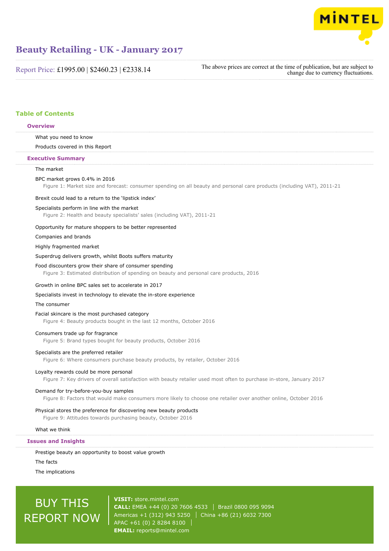

Report Price: £1995.00 | \$2460.23 | €2338.14

The above prices are correct at the time of publication, but are subject to change due to currency fluctuations.

#### **Table of Contents**

#### **Overview**

What you need to know

Products covered in this Report

#### **Executive Summary**

#### The market

#### BPC market grows 0.4% in 2016

Figure 1: Market size and forecast: consumer spending on all beauty and personal care products (including VAT), 2011-21

#### Brexit could lead to a return to the 'lipstick index'

#### Specialists perform in line with the market

Figure 2: Health and beauty specialists' sales (including VAT), 2011-21

#### Opportunity for mature shoppers to be better represented

Companies and brands

Highly fragmented market

Superdrug delivers growth, whilst Boots suffers maturity

#### Food discounters grow their share of consumer spending

Figure 3: Estimated distribution of spending on beauty and personal care products, 2016

#### Growth in online BPC sales set to accelerate in 2017

Specialists invest in technology to elevate the in-store experience

#### The consumer

#### Facial skincare is the most purchased category

Figure 4: Beauty products bought in the last 12 months, October 2016

#### Consumers trade up for fragrance

Figure 5: Brand types bought for beauty products, October 2016

#### Specialists are the preferred retailer

Figure 6: Where consumers purchase beauty products, by retailer, October 2016

#### Loyalty rewards could be more personal

Figure 7: Key drivers of overall satisfaction with beauty retailer used most often to purchase in-store, January 2017

#### Demand for try-before-you-buy samples

Figure 8: Factors that would make consumers more likely to choose one retailer over another online, October 2016

#### Physical stores the preference for discovering new beauty products

Figure 9: Attitudes towards purchasing beauty, October 2016

#### What we think

#### **Issues and Insights**

Prestige beauty an opportunity to boost value growth

#### The facts

The implications

## BUY THIS REPORT NOW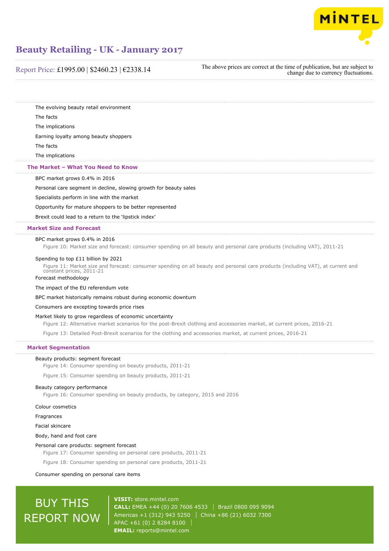

Report Price: £1995.00 | \$2460.23 | €2338.14

The above prices are correct at the time of publication, but are subject to change due to currency fluctuations.

The evolving beauty retail environment The facts The implications Earning loyalty among beauty shoppers

The facts

The implications

#### **The Market – What You Need to Know**

BPC market grows 0.4% in 2016

Personal care segment in decline, slowing growth for beauty sales

Specialists perform in line with the market

Opportunity for mature shoppers to be better represented

Brexit could lead to a return to the 'lipstick index'

#### **Market Size and Forecast**

#### BPC market grows 0.4% in 2016

Figure 10: Market size and forecast: consumer spending on all beauty and personal care products (including VAT), 2011-21

#### Spending to top £11 billion by 2021

Figure 11: Market size and forecast: consumer spending on all beauty and personal care products (including VAT), at current and constant prices, 2011-21

#### Forecast methodology

The impact of the EU referendum vote

BPC market historically remains robust during economic downturn

Consumers are excepting towards price rises

#### Market likely to grow regardless of economic uncertainty

Figure 12: Alternative market scenarios for the post-Brexit clothing and accessories market, at current prices, 2016-21

Figure 13: Detailed Post-Brexit scenarios for the clothing and accessories market, at current prices, 2016-21

#### **Market Segmentation**

#### Beauty products: segment forecast

Figure 14: Consumer spending on beauty products, 2011-21

Figure 15: Consumer spending on beauty products, 2011-21

#### Beauty category performance

Figure 16: Consumer spending on beauty products, by category, 2015 and 2016

Colour cosmetics

#### Fragrances

Facial skincare

#### Body, hand and foot care

Personal care products: segment forecast

Figure 17: Consumer spending on personal care products, 2011-21

Figure 18: Consumer spending on personal care products, 2011-21

Consumer spending on personal care items

## BUY THIS REPORT NOW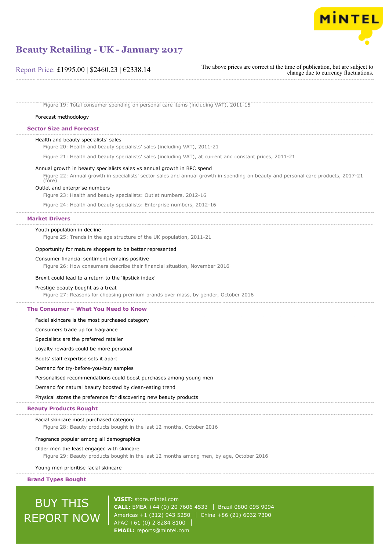

#### Report Price: £1995.00 | \$2460.23 | €2338.14

The above prices are correct at the time of publication, but are subject to change due to currency fluctuations.

Figure 19: Total consumer spending on personal care items (including VAT), 2011-15

#### Forecast methodology

#### **Sector Size and Forecast**

#### Health and beauty specialists' sales

Figure 20: Health and beauty specialists' sales (including VAT), 2011-21

Figure 21: Health and beauty specialists' sales (including VAT), at current and constant prices, 2011-21

#### Annual growth in beauty specialists sales vs annual growth in BPC spend

Figure 22: Annual growth in specialists' sector sales and annual growth in spending on beauty and personal care products, 2017-21 (fore)

#### Outlet and enterprise numbers

Figure 23: Health and beauty specialists: Outlet numbers, 2012-16

Figure 24: Health and beauty specialists: Enterprise numbers, 2012-16

#### **Market Drivers**

#### Youth population in decline

Figure 25: Trends in the age structure of the UK population, 2011-21

#### Opportunity for mature shoppers to be better represented

#### Consumer financial sentiment remains positive

Figure 26: How consumers describe their financial situation, November 2016

#### Brexit could lead to a return to the 'lipstick index'

#### Prestige beauty bought as a treat

Figure 27: Reasons for choosing premium brands over mass, by gender, October 2016

#### **The Consumer – What You Need to Know**

Facial skincare is the most purchased category

Consumers trade up for fragrance

Specialists are the preferred retailer

Loyalty rewards could be more personal

Boots' staff expertise sets it apart

Demand for try-before-you-buy samples

Personalised recommendations could boost purchases among young men

Demand for natural beauty boosted by clean-eating trend

Physical stores the preference for discovering new beauty products

#### **Beauty Products Bought**

#### Facial skincare most purchased category

Figure 28: Beauty products bought in the last 12 months, October 2016

#### Fragrance popular among all demographics

#### Older men the least engaged with skincare

Figure 29: Beauty products bought in the last 12 months among men, by age, October 2016

#### Young men prioritise facial skincare

#### **Brand Types Bought**

## BUY THIS REPORT NOW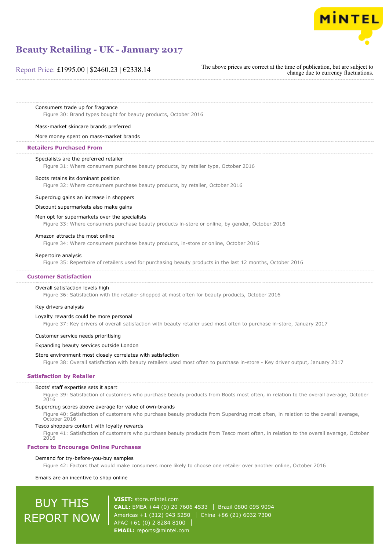

#### Report Price: £1995.00 | \$2460.23 | €2338.14

The above prices are correct at the time of publication, but are subject to change due to currency fluctuations.

#### Consumers trade up for fragrance

Figure 30: Brand types bought for beauty products, October 2016

#### Mass-market skincare brands preferred

#### More money spent on mass-market brands

**Retailers Purchased From**

#### Specialists are the preferred retailer

Figure 31: Where consumers purchase beauty products, by retailer type, October 2016

#### Boots retains its dominant position

Figure 32: Where consumers purchase beauty products, by retailer, October 2016

#### Superdrug gains an increase in shoppers

Discount supermarkets also make gains

#### Men opt for supermarkets over the specialists

Figure 33: Where consumers purchase beauty products in-store or online, by gender, October 2016

#### Amazon attracts the most online

Figure 34: Where consumers purchase beauty products, in-store or online, October 2016

#### Repertoire analysis

Figure 35: Repertoire of retailers used for purchasing beauty products in the last 12 months, October 2016

#### **Customer Satisfaction**

#### Overall satisfaction levels high

Figure 36: Satisfaction with the retailer shopped at most often for beauty products, October 2016

#### Key drivers analysis

Loyalty rewards could be more personal

Figure 37: Key drivers of overall satisfaction with beauty retailer used most often to purchase in-store, January 2017

#### Customer service needs prioritising

#### Expanding beauty services outside London

#### Store environment most closely correlates with satisfaction

Figure 38: Overall satisfaction with beauty retailers used most often to purchase in-store - Key driver output, January 2017

#### **Satisfaction by Retailer**

#### Boots' staff expertise sets it apart

Figure 39: Satisfaction of customers who purchase beauty products from Boots most often, in relation to the overall average, October  $2016$ 

#### Superdrug scores above average for value of own-brands

Figure 40: Satisfaction of customers who purchase beauty products from Superdrug most often, in relation to the overall average, October 2016

#### Tesco shoppers content with loyalty rewards

Figure 41: Satisfaction of customers who purchase beauty products from Tesco most often, in relation to the overall average, October 2016

#### **Factors to Encourage Online Purchases**

#### Demand for try-before-you-buy samples

Figure 42: Factors that would make consumers more likely to choose one retailer over another online, October 2016

#### Emails are an incentive to shop online

## BUY THIS REPORT NOW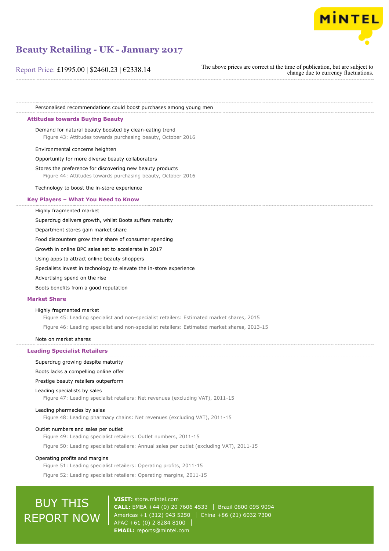

| Report Price: £1995.00   \$2460.23   $€2338.14$                    | The above prices are correct at the time of publication, but are subject to<br>change due to currency fluctuations. |
|--------------------------------------------------------------------|---------------------------------------------------------------------------------------------------------------------|
| Personalised recommendations could boost purchases among young men |                                                                                                                     |
|                                                                    |                                                                                                                     |
| <b>Attitudes towards Buying Beauty</b>                             |                                                                                                                     |
| Demand for natural beauty boosted by clean-eating trend            |                                                                                                                     |
| Figure 43: Attitudes towards purchasing beauty, October 2016       |                                                                                                                     |
| Environmental concerns heighten                                    |                                                                                                                     |
| Opportunity for more diverse beauty collaborators                  |                                                                                                                     |
| Stores the preference for discovering new beauty products          |                                                                                                                     |
| Figure 44: Attitudes towards purchasing beauty, October 2016       |                                                                                                                     |
| Technology to boost the in-store experience                        |                                                                                                                     |
| Key Players - What You Need to Know                                |                                                                                                                     |
| Highly fragmented market                                           |                                                                                                                     |
| Superdrug delivers growth, whilst Boots suffers maturity           |                                                                                                                     |
| Department stores gain market share                                |                                                                                                                     |
| Food discounters grow their share of consumer spending             |                                                                                                                     |
| Growth in online BPC sales set to accelerate in 2017               |                                                                                                                     |
| Using apps to attract online beauty shoppers                       |                                                                                                                     |

Specialists invest in technology to elevate the in-store experience

Advertising spend on the rise

Boots benefits from a good reputation

#### **Market Share**

#### Highly fragmented market

Figure 45: Leading specialist and non-specialist retailers: Estimated market shares, 2015

Figure 46: Leading specialist and non-specialist retailers: Estimated market shares, 2013-15

#### Note on market shares

#### **Leading Specialist Retailers**

#### Superdrug growing despite maturity

Boots lacks a compelling online offer

#### Prestige beauty retailers outperform

#### Leading specialists by sales

Figure 47: Leading specialist retailers: Net revenues (excluding VAT), 2011-15

#### Leading pharmacies by sales

Figure 48: Leading pharmacy chains: Net revenues (excluding VAT), 2011-15

#### Outlet numbers and sales per outlet

Figure 49: Leading specialist retailers: Outlet numbers, 2011-15

Figure 50: Leading specialist retailers: Annual sales per outlet (excluding VAT), 2011-15

#### Operating profits and margins

Figure 51: Leading specialist retailers: Operating profits, 2011-15

Figure 52: Leading specialist retailers: Operating margins, 2011-15

## BUY THIS REPORT NOW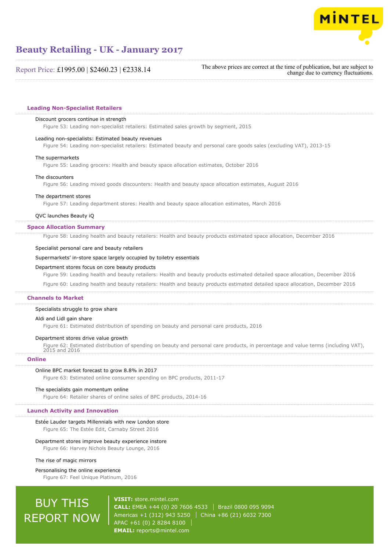

Report Price: £1995.00 | \$2460.23 | €2338.14

The above prices are correct at the time of publication, but are subject to change due to currency fluctuations.

#### **Leading Non-Specialist Retailers**

#### Discount grocers continue in strength

Figure 53: Leading non-specialist retailers: Estimated sales growth by segment, 2015

#### Leading non-specialists: Estimated beauty revenues

Figure 54: Leading non-specialist retailers: Estimated beauty and personal care goods sales (excluding VAT), 2013-15

#### The supermarkets

Figure 55: Leading grocers: Health and beauty space allocation estimates, October 2016

#### The discounters

Figure 56: Leading mixed goods discounters: Health and beauty space allocation estimates, August 2016

#### The department stores

Figure 57: Leading department stores: Health and beauty space allocation estimates, March 2016

#### QVC launches Beauty iQ

#### **Space Allocation Summary**

Figure 58: Leading health and beauty retailers: Health and beauty products estimated space allocation, December 2016

#### Specialist personal care and beauty retailers

Supermarkets' in-store space largely occupied by toiletry essentials

#### Department stores focus on core beauty products

Figure 59: Leading health and beauty retailers: Health and beauty products estimated detailed space allocation, December 2016

Figure 60: Leading health and beauty retailers: Health and beauty products estimated detailed space allocation, December 2016

#### **Channels to Market**

#### Specialists struggle to grow share

#### Aldi and Lidl gain share

Figure 61: Estimated distribution of spending on beauty and personal care products, 2016

#### Department stores drive value growth

Figure 62: Estimated distribution of spending on beauty and personal care products, in percentage and value terms (including VAT), 2015 and 2016

#### **Online**

#### Online BPC market forecast to grow 8.8% in 2017

Figure 63: Estimated online consumer spending on BPC products, 2011-17

#### The specialists gain momentum online

Figure 64: Retailer shares of online sales of BPC products, 2014-16

#### **Launch Activity and Innovation**

#### Estée Lauder targets Millennials with new London store

Figure 65: The Estée Edit, Carnaby Street 2016

#### Department stores improve beauty experience instore

Figure 66: Harvey Nichols Beauty Lounge, 2016

#### The rise of magic mirrors

Personalising the online experience

Figure 67: Feel Unique Platinum, 2016

## **BUY THIS** REPORT NOW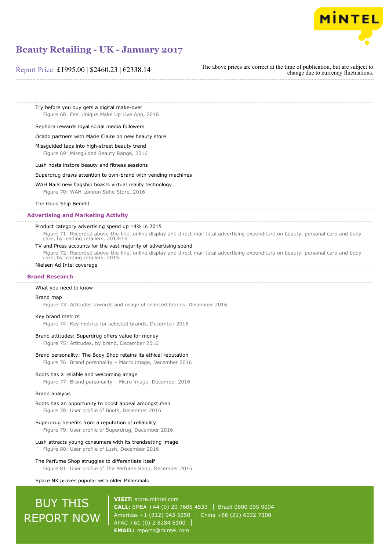

#### Report Price: £1995.00 | \$2460.23 | €2338.14

The above prices are correct at the time of publication, but are subject to change due to currency fluctuations.

Try before you buy gets a digital make-over Figure 68: Feel Unique Make Up Live App, 2016

#### Sephora rewards loyal social media followers

Ocado partners with Marie Claire on new beauty store

Missguided taps into high-street beauty trend

Figure 69: Missguided Beauty Range, 2016

Lush hosts instore beauty and fitness sessions

#### Superdrug draws attention to own-brand with vending machines

#### WAH Nails new flagship boasts virtual reality technology

Figure 70: WAH London Soho Store, 2016

#### The Good Ship Benefit

#### **Advertising and Marketing Activity**

#### Product category advertising spend up 14% in 2015

Figure 71: Recorded above-the-line, online display and direct mail total advertising expenditure on beauty, personal care and body care, by leading retailers, 2013-16

#### TV and Press accounts for the vast majority of advertising spend

Figure 72: Recorded above-the-line, online display and direct mail total advertising expenditure on beauty, personal care and body care, by leading retailers, 2015

#### Nielsen Ad Intel coverage

#### **Brand Research**

#### What you need to know

#### Brand map

Figure 73: Attitudes towards and usage of selected brands, December 2016

#### Key brand metrics

Figure 74: Key metrics for selected brands, December 2016

#### Brand attitudes: Superdrug offers value for money

Figure 75: Attitudes, by brand, December 2016

#### Brand personality: The Body Shop retains its ethical reputation

Figure 76: Brand personality – Macro image, December 2016

#### Boots has a reliable and welcoming image

Figure 77: Brand personality – Micro image, December 2016

#### Brand analysis

#### Boots has an opportunity to boost appeal amongst men

Figure 78: User profile of Boots, December 2016

#### Superdrug benefits from a reputation of reliability

Figure 79: User profile of Superdrug, December 2016

#### Lush attracts young consumers with its trendsetting image

Figure 80: User profile of Lush, December 2016

#### The Perfume Shop struggles to differentiate itself

Figure 81: User profile of The Perfume Shop, December 2016

#### Space NK proves popular with older Millennials

## BUY THIS REPORT NOW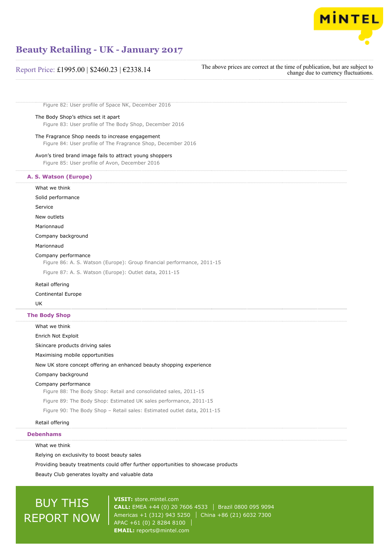

### Report Price: £1995.00 | \$2460.23 | €2338.14

The above prices are correct at the time of publication, but are subject to change due to currency fluctuations.

Figure 82: User profile of Space NK, December 2016

The Body Shop's ethics set it apart Figure 83: User profile of The Body Shop, December 2016

#### The Fragrance Shop needs to increase engagement

Figure 84: User profile of The Fragrance Shop, December 2016

#### Avon's tired brand image fails to attract young shoppers

Figure 85: User profile of Avon, December 2016

#### **A. S. Watson (Europe)**

What we think

| Solid performance                                                                             |
|-----------------------------------------------------------------------------------------------|
| Service                                                                                       |
| New outlets                                                                                   |
| Marionnaud                                                                                    |
| Company background                                                                            |
| Marionnaud                                                                                    |
| Company performance<br>Figure 86: A. S. Watson (Europe): Group financial performance, 2011-15 |
| Figure 87: A. S. Watson (Europe): Outlet data, 2011-15                                        |
| Retail offering                                                                               |
| <b>Continental Europe</b>                                                                     |
|                                                                                               |
| <b>UK</b>                                                                                     |
| <b>The Body Shop</b>                                                                          |
| What we think                                                                                 |
| Enrich Not Exploit                                                                            |
| Skincare products driving sales                                                               |
| Maximising mobile opportunities                                                               |
| New UK store concept offering an enhanced beauty shopping experience                          |
| Company background                                                                            |
| Company performance<br>Figure 88: The Body Shop: Retail and consolidated sales, 2011-15       |
| Figure 89: The Body Shop: Estimated UK sales performance, 2011-15                             |

Figure 90: The Body Shop – Retail sales: Estimated outlet data, 2011-15

#### Retail offering

**Debenhams**

#### What we think

Relying on exclusivity to boost beauty sales

Providing beauty treatments could offer further opportunities to showcase products

Beauty Club generates loyalty and valuable data

# BUY THIS REPORT NOW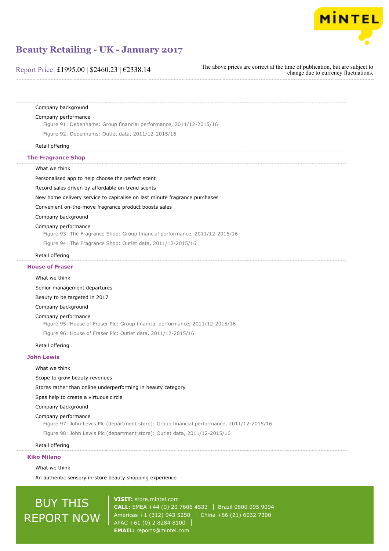

#### Report Price: £1995.00 | \$2460.23 | €2338.14

The above prices are correct at the time of publication, but are subject to change due to currency fluctuations.

Company background

#### Company performance

Figure 91: Debenhams: Group financial performance, 2011/12-2015/16

Figure 92: Debenhams: Outlet data, 2011/12-2015/16

#### Retail offering

#### **The Fragrance Shop**

What we think

Personalised app to help choose the perfect scent

Record sales driven by affordable on-trend scents

New home delivery service to capitalise on last minute fragrance purchases

Convenient on-the-move fragrance product boosts sales

#### Company background

#### Company performance

Figure 93: The Fragrance Shop: Group financial performance, 2011/12-2015/16

Figure 94: The Fragrance Shop: Outlet data, 2011/12-2015/16

#### Retail offering

#### **House of Fraser**

#### What we think

Senior management departures

Beauty to be targeted in 2017

#### Company background

#### Company performance

Figure 95: House of Fraser Plc: Group financial performance, 2011/12-2015/16

Figure 96: House of Fraser Plc: Outlet data, 2011/12-2015/16

Retail offering

#### **John Lewis**

What we think

Scope to grow beauty revenues

Stores rather than online underperforming in beauty category

Spas help to create a virtuous circle

Company background

Company performance

Figure 97: John Lewis Plc (department store): Group financial performance, 2011/12-2015/16

Figure 98: John Lewis Plc (department store): Outlet data, 2011/12-2015/16

Retail offering

**Kiko Milano**

What we think

An authentic sensory in-store beauty shopping experience

## BUY THIS REPORT NOW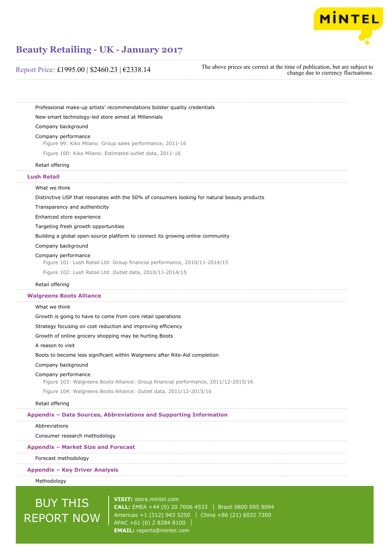

#### Report Price: £1995.00 | \$2460.23 | €2338.14

The above prices are correct at the time of publication, but are subject to change due to currency fluctuations.

Professional make-up artists' recommendations bolster quality credentials

New smart technology-led store aimed at Millennials

#### Company background

#### Company performance

Figure 99: Kiko Milano: Group sales performance, 2011-16

Figure 100: Kiko Milano: Estimated outlet data, 2011-16

#### Retail offering

#### **Lush Retail**

#### What we think

Distinctive USP that resonates with the 50% of consumers looking for natural beauty products

Transparency and authenticity

Enhanced store experience

Targeting fresh growth opportunities

Building a global open-source platform to connect its growing online community

Company background

#### Company performance

Figure 101: Lush Retail Ltd: Group financial performance, 2010/11-2014/15

Figure 102: Lush Retail Ltd: Outlet data, 2010/11-2014/15

#### Retail offering

#### **Walgreens Boots Alliance**

#### What we think

Growth is going to have to come from core retail operations

Strategy focusing on cost reduction and improving efficiency

Growth of online grocery shopping may be hurting Boots

A reason to visit

Boots to become less significant within Walgreens after Rite-Aid completion

#### Company background

#### Company performance

Figure 103: Walgreens Boots Alliance: Group financial performance, 2011/12-2015/16 Figure 104: Walgreens Boots Alliance: Outlet data, 2011/12-2015/16

Retail offering

#### **Appendix – Data Sources, Abbreviations and Supporting Information**

#### Abbreviations

#### Consumer research methodology

#### **Appendix – Market Size and Forecast**

Forecast methodology

#### **Appendix – Key Driver Analysis**

Methodology

## BUY THIS REPORT NOW